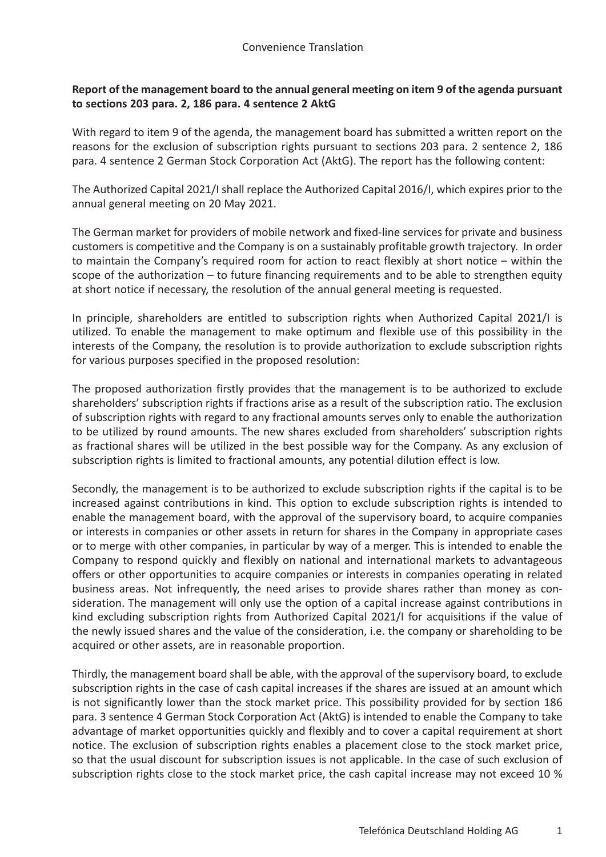## **Report of the management board to the annual general meeting on item 9 of the agenda pursuant to sections 203 para. 2, 186 para. 4 sentence 2 AktG**

With regard to item 9 of the agenda, the management board has submitted a written report on the reasons for the exclusion of subscription rights pursuant to sections 203 para. 2 sentence 2, 186 para. 4 sentence 2 German Stock Corporation Act (AktG). The report has the following content:

The Authorized Capital 2021/I shall replace the Authorized Capital 2016/I, which expires prior to the annual general meeting on 20 May 2021.

The German market for providers of mobile network and fixed-line services for private and business customers is competitive and the Company is on a sustainably profitable growth trajectory. In order to maintain the Company's required room for action to react flexibly at short notice – within the scope of the authorization – to future financing requirements and to be able to strengthen equity at short notice if necessary, the resolution of the annual general meeting is requested.

In principle, shareholders are entitled to subscription rights when Authorized Capital 2021/I is utilized. To enable the management to make optimum and flexible use of this possibility in the interests of the Company, the resolution is to provide authorization to exclude subscription rights for various purposes specified in the proposed resolution:

The proposed authorization firstly provides that the management is to be authorized to exclude shareholders' subscription rights if fractions arise as a result of the subscription ratio. The exclusion of subscription rights with regard to any fractional amounts serves only to enable the authorization to be utilized by round amounts. The new shares excluded from shareholders' subscription rights as fractional shares will be utilized in the best possible way for the Company. As any exclusion of subscription rights is limited to fractional amounts, any potential dilution effect is low.

Secondly, the management is to be authorized to exclude subscription rights if the capital is to be increased against contributions in kind. This option to exclude subscription rights is intended to enable the management board, with the approval of the supervisory board, to acquire companies or interests in companies or other assets in return for shares in the Company in appropriate cases or to merge with other companies, in particular by way of a merger. This is intended to enable the Company to respond quickly and flexibly on national and international markets to advantageous offers or other opportunities to acquire companies or interests in companies operating in related business areas. Not infrequently, the need arises to provide shares rather than money as consideration. The management will only use the option of a capital increase against contributions in kind excluding subscription rights from Authorized Capital 2021/I for acquisitions if the value of the newly issued shares and the value of the consideration, i.e. the company or shareholding to be acquired or other assets, are in reasonable proportion.

Thirdly, the management board shall be able, with the approval of the supervisory board, to exclude subscription rights in the case of cash capital increases if the shares are issued at an amount which is not significantly lower than the stock market price. This possibility provided for by section 186 para. 3 sentence 4 German Stock Corporation Act (AktG) is intended to enable the Company to take advantage of market opportunities quickly and flexibly and to cover a capital requirement at short notice. The exclusion of subscription rights enables a placement close to the stock market price, so that the usual discount for subscription issues is not applicable. In the case of such exclusion of subscription rights close to the stock market price, the cash capital increase may not exceed 10 %